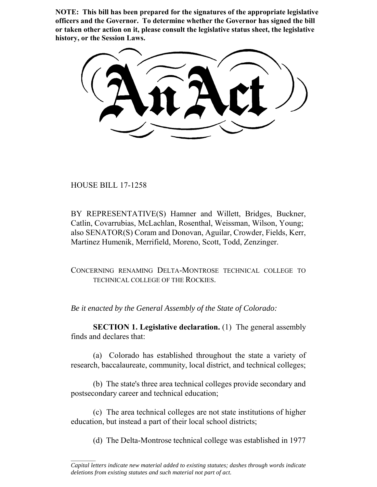**NOTE: This bill has been prepared for the signatures of the appropriate legislative officers and the Governor. To determine whether the Governor has signed the bill or taken other action on it, please consult the legislative status sheet, the legislative history, or the Session Laws.**

HOUSE BILL 17-1258

 $\frac{1}{2}$ 

BY REPRESENTATIVE(S) Hamner and Willett, Bridges, Buckner, Catlin, Covarrubias, McLachlan, Rosenthal, Weissman, Wilson, Young; also SENATOR(S) Coram and Donovan, Aguilar, Crowder, Fields, Kerr, Martinez Humenik, Merrifield, Moreno, Scott, Todd, Zenzinger.

CONCERNING RENAMING DELTA-MONTROSE TECHNICAL COLLEGE TO TECHNICAL COLLEGE OF THE ROCKIES.

*Be it enacted by the General Assembly of the State of Colorado:*

**SECTION 1. Legislative declaration.** (1) The general assembly finds and declares that:

(a) Colorado has established throughout the state a variety of research, baccalaureate, community, local district, and technical colleges;

(b) The state's three area technical colleges provide secondary and postsecondary career and technical education;

(c) The area technical colleges are not state institutions of higher education, but instead a part of their local school districts;

(d) The Delta-Montrose technical college was established in 1977

*Capital letters indicate new material added to existing statutes; dashes through words indicate deletions from existing statutes and such material not part of act.*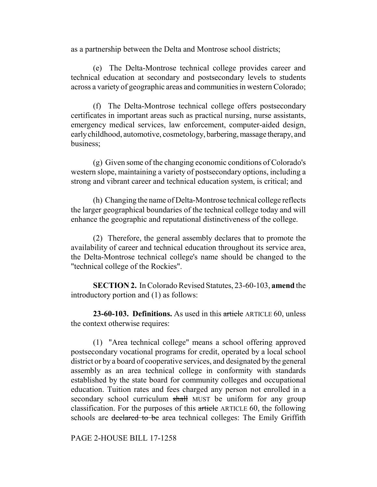as a partnership between the Delta and Montrose school districts;

(e) The Delta-Montrose technical college provides career and technical education at secondary and postsecondary levels to students across a variety of geographic areas and communities in western Colorado;

(f) The Delta-Montrose technical college offers postsecondary certificates in important areas such as practical nursing, nurse assistants, emergency medical services, law enforcement, computer-aided design, early childhood, automotive, cosmetology, barbering, massage therapy, and business;

(g) Given some of the changing economic conditions of Colorado's western slope, maintaining a variety of postsecondary options, including a strong and vibrant career and technical education system, is critical; and

(h) Changing the name of Delta-Montrose technical college reflects the larger geographical boundaries of the technical college today and will enhance the geographic and reputational distinctiveness of the college.

(2) Therefore, the general assembly declares that to promote the availability of career and technical education throughout its service area, the Delta-Montrose technical college's name should be changed to the "technical college of the Rockies".

**SECTION 2.** In Colorado Revised Statutes, 23-60-103, **amend** the introductory portion and (1) as follows:

**23-60-103. Definitions.** As used in this article ARTICLE 60, unless the context otherwise requires:

(1) "Area technical college" means a school offering approved postsecondary vocational programs for credit, operated by a local school district or by a board of cooperative services, and designated by the general assembly as an area technical college in conformity with standards established by the state board for community colleges and occupational education. Tuition rates and fees charged any person not enrolled in a secondary school curriculum shall MUST be uniform for any group classification. For the purposes of this article ARTICLE 60, the following schools are declared to be area technical colleges: The Emily Griffith

PAGE 2-HOUSE BILL 17-1258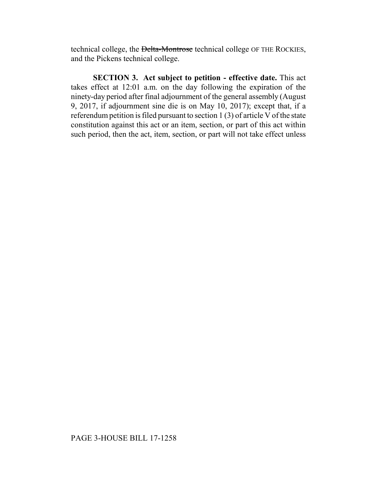technical college, the Delta-Montrose technical college OF THE ROCKIES, and the Pickens technical college.

**SECTION 3. Act subject to petition - effective date.** This act takes effect at 12:01 a.m. on the day following the expiration of the ninety-day period after final adjournment of the general assembly (August 9, 2017, if adjournment sine die is on May 10, 2017); except that, if a referendum petition is filed pursuant to section 1 (3) of article V of the state constitution against this act or an item, section, or part of this act within such period, then the act, item, section, or part will not take effect unless